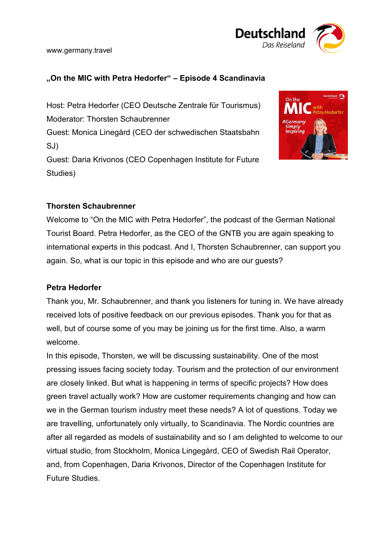

# **"On the MIC with Petra Hedorfer" – Episode 4 Scandinavia**

Host: Petra Hedorfer (CEO Deutsche Zentrale für Tourismus) Moderator: Thorsten Schaubrenner Guest: Monica Linegård (CEO der schwedischen Staatsbahn SJ) Guest: Daria Krivonos (CEO Copenhagen Institute for Future Studies)



# **Thorsten Schaubrenner**

Welcome to "On the MIC with Petra Hedorfer", the podcast of the German National Tourist Board. Petra Hedorfer, as the CEO of the GNTB you are again speaking to international experts in this podcast. And I, Thorsten Schaubrenner, can support you again. So, what is our topic in this episode and who are our guests?

### **Petra Hedorfer**

Thank you, Mr. Schaubrenner, and thank you listeners for tuning in. We have already received lots of positive feedback on our previous episodes. Thank you for that as well, but of course some of you may be joining us for the first time. Also, a warm welcome.

In this episode, Thorsten, we will be discussing sustainability. One of the most pressing issues facing society today. Tourism and the protection of our environment are closely linked. But what is happening in terms of specific projects? How does green travel actually work? How are customer requirements changing and how can we in the German tourism industry meet these needs? A lot of questions. Today we are travelling, unfortunately only virtually, to Scandinavia. The Nordic countries are after all regarded as models of sustainability and so I am delighted to welcome to our virtual studio, from Stockholm, Monica Lingegård, CEO of Swedish Rail Operator, and, from Copenhagen, Daria Krivonos, Director of the Copenhagen Institute for Future Studies.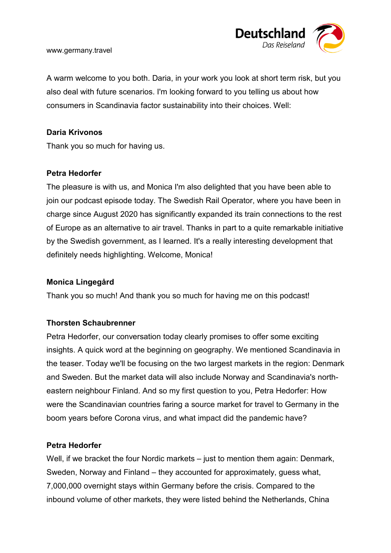

A warm welcome to you both. Daria, in your work you look at short term risk, but you also deal with future scenarios. I'm looking forward to you telling us about how consumers in Scandinavia factor sustainability into their choices. Well:

#### **Daria Krivonos**

Thank you so much for having us.

#### **Petra Hedorfer**

The pleasure is with us, and Monica I'm also delighted that you have been able to join our podcast episode today. The Swedish Rail Operator, where you have been in charge since August 2020 has significantly expanded its train connections to the rest of Europe as an alternative to air travel. Thanks in part to a quite remarkable initiative by the Swedish government, as I learned. It's a really interesting development that definitely needs highlighting. Welcome, Monica!

### **Monica Lingegård**

Thank you so much! And thank you so much for having me on this podcast!

### **Thorsten Schaubrenner**

Petra Hedorfer, our conversation today clearly promises to offer some exciting insights. A quick word at the beginning on geography. We mentioned Scandinavia in the teaser. Today we'll be focusing on the two largest markets in the region: Denmark and Sweden. But the market data will also include Norway and Scandinavia's northeastern neighbour Finland. And so my first question to you, Petra Hedorfer: How were the Scandinavian countries faring a source market for travel to Germany in the boom years before Corona virus, and what impact did the pandemic have?

### **Petra Hedorfer**

Well, if we bracket the four Nordic markets – just to mention them again: Denmark, Sweden, Norway and Finland – they accounted for approximately, guess what, 7,000,000 overnight stays within Germany before the crisis. Compared to the inbound volume of other markets, they were listed behind the Netherlands, China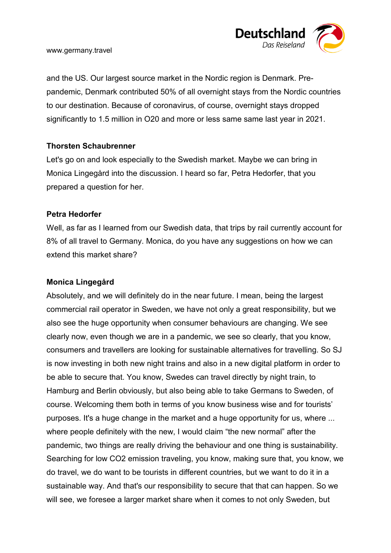

and the US. Our largest source market in the Nordic region is Denmark. Prepandemic, Denmark contributed 50% of all overnight stays from the Nordic countries to our destination. Because of coronavirus, of course, overnight stays dropped significantly to 1.5 million in O20 and more or less same same last year in 2021.

### **Thorsten Schaubrenner**

Let's go on and look especially to the Swedish market. Maybe we can bring in Monica Lingegård into the discussion. I heard so far, Petra Hedorfer, that you prepared a question for her.

### **Petra Hedorfer**

Well, as far as I learned from our Swedish data, that trips by rail currently account for 8% of all travel to Germany. Monica, do you have any suggestions on how we can extend this market share?

### **Monica Lingegård**

Absolutely, and we will definitely do in the near future. I mean, being the largest commercial rail operator in Sweden, we have not only a great responsibility, but we also see the huge opportunity when consumer behaviours are changing. We see clearly now, even though we are in a pandemic, we see so clearly, that you know, consumers and travellers are looking for sustainable alternatives for travelling. So SJ is now investing in both new night trains and also in a new digital platform in order to be able to secure that. You know, Swedes can travel directly by night train, to Hamburg and Berlin obviously, but also being able to take Germans to Sweden, of course. Welcoming them both in terms of you know business wise and for tourists' purposes. It's a huge change in the market and a huge opportunity for us, where ... where people definitely with the new, I would claim "the new normal" after the pandemic, two things are really driving the behaviour and one thing is sustainability. Searching for low CO2 emission traveling, you know, making sure that, you know, we do travel, we do want to be tourists in different countries, but we want to do it in a sustainable way. And that's our responsibility to secure that that can happen. So we will see, we foresee a larger market share when it comes to not only Sweden, but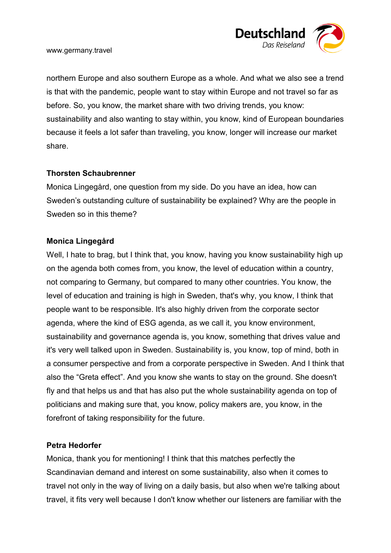

northern Europe and also southern Europe as a whole. And what we also see a trend is that with the pandemic, people want to stay within Europe and not travel so far as before. So, you know, the market share with two driving trends, you know: sustainability and also wanting to stay within, you know, kind of European boundaries because it feels a lot safer than traveling, you know, longer will increase our market share.

### **Thorsten Schaubrenner**

Monica Lingegård, one question from my side. Do you have an idea, how can Sweden's outstanding culture of sustainability be explained? Why are the people in Sweden so in this theme?

### **Monica Lingegård**

Well, I hate to brag, but I think that, you know, having you know sustainability high up on the agenda both comes from, you know, the level of education within a country, not comparing to Germany, but compared to many other countries. You know, the level of education and training is high in Sweden, that's why, you know, I think that people want to be responsible. It's also highly driven from the corporate sector agenda, where the kind of ESG agenda, as we call it, you know environment, sustainability and governance agenda is, you know, something that drives value and it's very well talked upon in Sweden. Sustainability is, you know, top of mind, both in a consumer perspective and from a corporate perspective in Sweden. And I think that also the "Greta effect". And you know she wants to stay on the ground. She doesn't fly and that helps us and that has also put the whole sustainability agenda on top of politicians and making sure that, you know, policy makers are, you know, in the forefront of taking responsibility for the future.

### **Petra Hedorfer**

Monica, thank you for mentioning! I think that this matches perfectly the Scandinavian demand and interest on some sustainability, also when it comes to travel not only in the way of living on a daily basis, but also when we're talking about travel, it fits very well because I don't know whether our listeners are familiar with the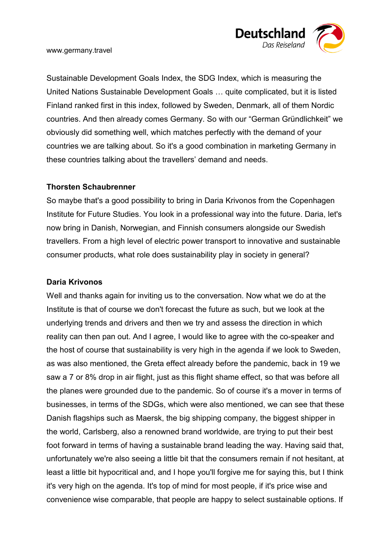

Sustainable Development Goals Index, the SDG Index, which is measuring the United Nations Sustainable Development Goals … quite complicated, but it is listed Finland ranked first in this index, followed by Sweden, Denmark, all of them Nordic countries. And then already comes Germany. So with our "German Gründlichkeit" we obviously did something well, which matches perfectly with the demand of your countries we are talking about. So it's a good combination in marketing Germany in these countries talking about the travellers' demand and needs.

### **Thorsten Schaubrenner**

So maybe that's a good possibility to bring in Daria Krivonos from the Copenhagen Institute for Future Studies. You look in a professional way into the future. Daria, let's now bring in Danish, Norwegian, and Finnish consumers alongside our Swedish travellers. From a high level of electric power transport to innovative and sustainable consumer products, what role does sustainability play in society in general?

### **Daria Krivonos**

Well and thanks again for inviting us to the conversation. Now what we do at the Institute is that of course we don't forecast the future as such, but we look at the underlying trends and drivers and then we try and assess the direction in which reality can then pan out. And I agree, I would like to agree with the co-speaker and the host of course that sustainability is very high in the agenda if we look to Sweden, as was also mentioned, the Greta effect already before the pandemic, back in 19 we saw a 7 or 8% drop in air flight, just as this flight shame effect, so that was before all the planes were grounded due to the pandemic. So of course it's a mover in terms of businesses, in terms of the SDGs, which were also mentioned, we can see that these Danish flagships such as Maersk, the big shipping company, the biggest shipper in the world, Carlsberg, also a renowned brand worldwide, are trying to put their best foot forward in terms of having a sustainable brand leading the way. Having said that, unfortunately we're also seeing a little bit that the consumers remain if not hesitant, at least a little bit hypocritical and, and I hope you'll forgive me for saying this, but I think it's very high on the agenda. It's top of mind for most people, if it's price wise and convenience wise comparable, that people are happy to select sustainable options. If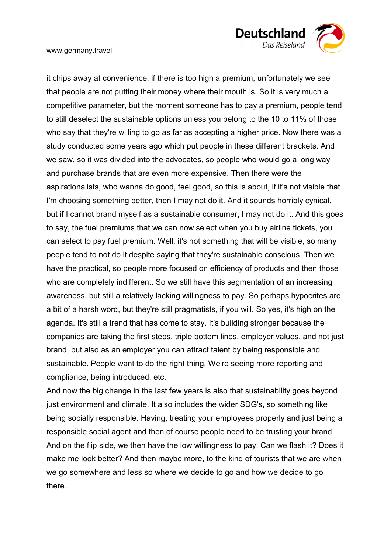

it chips away at convenience, if there is too high a premium, unfortunately we see that people are not putting their money where their mouth is. So it is very much a competitive parameter, but the moment someone has to pay a premium, people tend to still deselect the sustainable options unless you belong to the 10 to 11% of those who say that they're willing to go as far as accepting a higher price. Now there was a study conducted some years ago which put people in these different brackets. And we saw, so it was divided into the advocates, so people who would go a long way and purchase brands that are even more expensive. Then there were the aspirationalists, who wanna do good, feel good, so this is about, if it's not visible that I'm choosing something better, then I may not do it. And it sounds horribly cynical, but if I cannot brand myself as a sustainable consumer, I may not do it. And this goes to say, the fuel premiums that we can now select when you buy airline tickets, you can select to pay fuel premium. Well, it's not something that will be visible, so many people tend to not do it despite saying that they're sustainable conscious. Then we have the practical, so people more focused on efficiency of products and then those who are completely indifferent. So we still have this segmentation of an increasing awareness, but still a relatively lacking willingness to pay. So perhaps hypocrites are a bit of a harsh word, but they're still pragmatists, if you will. So yes, it's high on the agenda. It's still a trend that has come to stay. It's building stronger because the companies are taking the first steps, triple bottom lines, employer values, and not just brand, but also as an employer you can attract talent by being responsible and sustainable. People want to do the right thing. We're seeing more reporting and compliance, being introduced, etc.

And now the big change in the last few years is also that sustainability goes beyond just environment and climate. It also includes the wider SDG's, so something like being socially responsible. Having, treating your employees properly and just being a responsible social agent and then of course people need to be trusting your brand. And on the flip side, we then have the low willingness to pay. Can we flash it? Does it make me look better? And then maybe more, to the kind of tourists that we are when we go somewhere and less so where we decide to go and how we decide to go there.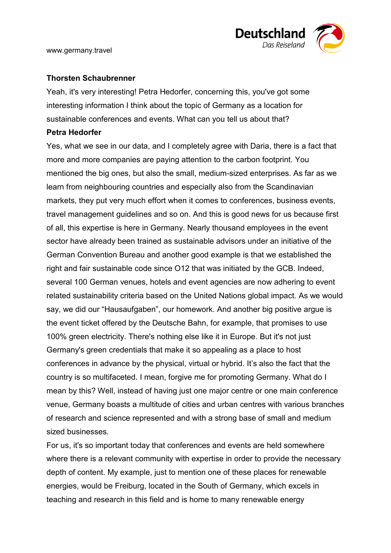

### **Thorsten Schaubrenner**

Yeah, it's very interesting! Petra Hedorfer, concerning this, you've got some interesting information I think about the topic of Germany as a location for sustainable conferences and events. What can you tell us about that?

#### **Petra Hedorfer**

Yes, what we see in our data, and I completely agree with Daria, there is a fact that more and more companies are paying attention to the carbon footprint. You mentioned the big ones, but also the small, medium-sized enterprises. As far as we learn from neighbouring countries and especially also from the Scandinavian markets, they put very much effort when it comes to conferences, business events, travel management guidelines and so on. And this is good news for us because first of all, this expertise is here in Germany. Nearly thousand employees in the event sector have already been trained as sustainable advisors under an initiative of the German Convention Bureau and another good example is that we established the right and fair sustainable code since O12 that was initiated by the GCB. Indeed, several 100 German venues, hotels and event agencies are now adhering to event related sustainability criteria based on the United Nations global impact. As we would say, we did our "Hausaufgaben", our homework. And another big positive argue is the event ticket offered by the Deutsche Bahn, for example, that promises to use 100% green electricity. There's nothing else like it in Europe. But it's not just Germany's green credentials that make it so appealing as a place to host conferences in advance by the physical, virtual or hybrid. It's also the fact that the country is so multifaceted. I mean, forgive me for promoting Germany. What do I mean by this? Well, instead of having just one major centre or one main conference venue, Germany boasts a multitude of cities and urban centres with various branches of research and science represented and with a strong base of small and medium sized businesses.

For us, it's so important today that conferences and events are held somewhere where there is a relevant community with expertise in order to provide the necessary depth of content. My example, just to mention one of these places for renewable energies, would be Freiburg, located in the South of Germany, which excels in teaching and research in this field and is home to many renewable energy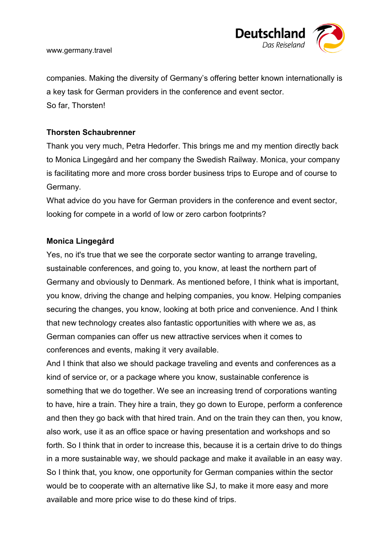

companies. Making the diversity of Germany's offering better known internationally is a key task for German providers in the conference and event sector. So far, Thorsten!

### **Thorsten Schaubrenner**

Thank you very much, Petra Hedorfer. This brings me and my mention directly back to Monica Lingegård and her company the Swedish Railway. Monica, your company is facilitating more and more cross border business trips to Europe and of course to Germany.

What advice do you have for German providers in the conference and event sector, looking for compete in a world of low or zero carbon footprints?

### **Monica Lingegård**

Yes, no it's true that we see the corporate sector wanting to arrange traveling, sustainable conferences, and going to, you know, at least the northern part of Germany and obviously to Denmark. As mentioned before, I think what is important, you know, driving the change and helping companies, you know. Helping companies securing the changes, you know, looking at both price and convenience. And I think that new technology creates also fantastic opportunities with where we as, as German companies can offer us new attractive services when it comes to conferences and events, making it very available.

And I think that also we should package traveling and events and conferences as a kind of service or, or a package where you know, sustainable conference is something that we do together. We see an increasing trend of corporations wanting to have, hire a train. They hire a train, they go down to Europe, perform a conference and then they go back with that hired train. And on the train they can then, you know, also work, use it as an office space or having presentation and workshops and so forth. So I think that in order to increase this, because it is a certain drive to do things in a more sustainable way, we should package and make it available in an easy way. So I think that, you know, one opportunity for German companies within the sector would be to cooperate with an alternative like SJ, to make it more easy and more available and more price wise to do these kind of trips.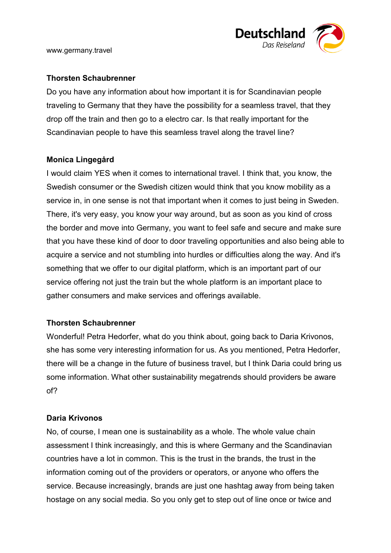

# **Thorsten Schaubrenner**

Do you have any information about how important it is for Scandinavian people traveling to Germany that they have the possibility for a seamless travel, that they drop off the train and then go to a electro car. Is that really important for the Scandinavian people to have this seamless travel along the travel line?

# **Monica Lingegård**

I would claim YES when it comes to international travel. I think that, you know, the Swedish consumer or the Swedish citizen would think that you know mobility as a service in, in one sense is not that important when it comes to just being in Sweden. There, it's very easy, you know your way around, but as soon as you kind of cross the border and move into Germany, you want to feel safe and secure and make sure that you have these kind of door to door traveling opportunities and also being able to acquire a service and not stumbling into hurdles or difficulties along the way. And it's something that we offer to our digital platform, which is an important part of our service offering not just the train but the whole platform is an important place to gather consumers and make services and offerings available.

# **Thorsten Schaubrenner**

Wonderful! Petra Hedorfer, what do you think about, going back to Daria Krivonos, she has some very interesting information for us. As you mentioned, Petra Hedorfer, there will be a change in the future of business travel, but I think Daria could bring us some information. What other sustainability megatrends should providers be aware of?

# **Daria Krivonos**

No, of course, I mean one is sustainability as a whole. The whole value chain assessment I think increasingly, and this is where Germany and the Scandinavian countries have a lot in common. This is the trust in the brands, the trust in the information coming out of the providers or operators, or anyone who offers the service. Because increasingly, brands are just one hashtag away from being taken hostage on any social media. So you only get to step out of line once or twice and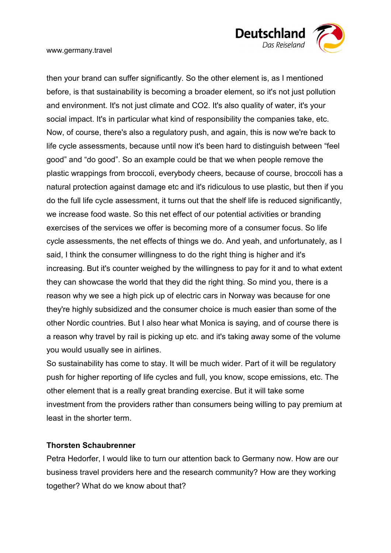

then your brand can suffer significantly. So the other element is, as I mentioned before, is that sustainability is becoming a broader element, so it's not just pollution and environment. It's not just climate and CO2. It's also quality of water, it's your social impact. It's in particular what kind of responsibility the companies take, etc. Now, of course, there's also a regulatory push, and again, this is now we're back to life cycle assessments, because until now it's been hard to distinguish between "feel good" and "do good". So an example could be that we when people remove the plastic wrappings from broccoli, everybody cheers, because of course, broccoli has a natural protection against damage etc and it's ridiculous to use plastic, but then if you do the full life cycle assessment, it turns out that the shelf life is reduced significantly, we increase food waste. So this net effect of our potential activities or branding exercises of the services we offer is becoming more of a consumer focus. So life cycle assessments, the net effects of things we do. And yeah, and unfortunately, as I said, I think the consumer willingness to do the right thing is higher and it's increasing. But it's counter weighed by the willingness to pay for it and to what extent they can showcase the world that they did the right thing. So mind you, there is a reason why we see a high pick up of electric cars in Norway was because for one they're highly subsidized and the consumer choice is much easier than some of the other Nordic countries. But I also hear what Monica is saying, and of course there is a reason why travel by rail is picking up etc. and it's taking away some of the volume you would usually see in airlines.

So sustainability has come to stay. It will be much wider. Part of it will be regulatory push for higher reporting of life cycles and full, you know, scope emissions, etc. The other element that is a really great branding exercise. But it will take some investment from the providers rather than consumers being willing to pay premium at least in the shorter term.

### **Thorsten Schaubrenner**

Petra Hedorfer, I would like to turn our attention back to Germany now. How are our business travel providers here and the research community? How are they working together? What do we know about that?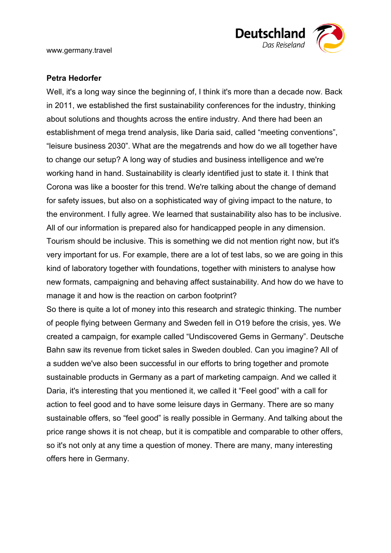

## **Petra Hedorfer**

Well, it's a long way since the beginning of, I think it's more than a decade now. Back in 2011, we established the first sustainability conferences for the industry, thinking about solutions and thoughts across the entire industry. And there had been an establishment of mega trend analysis, like Daria said, called "meeting conventions", "leisure business 2030". What are the megatrends and how do we all together have to change our setup? A long way of studies and business intelligence and we're working hand in hand. Sustainability is clearly identified just to state it. I think that Corona was like a booster for this trend. We're talking about the change of demand for safety issues, but also on a sophisticated way of giving impact to the nature, to the environment. I fully agree. We learned that sustainability also has to be inclusive. All of our information is prepared also for handicapped people in any dimension. Tourism should be inclusive. This is something we did not mention right now, but it's very important for us. For example, there are a lot of test labs, so we are going in this kind of laboratory together with foundations, together with ministers to analyse how new formats, campaigning and behaving affect sustainability. And how do we have to manage it and how is the reaction on carbon footprint?

So there is quite a lot of money into this research and strategic thinking. The number of people flying between Germany and Sweden fell in O19 before the crisis, yes. We created a campaign, for example called "Undiscovered Gems in Germany". Deutsche Bahn saw its revenue from ticket sales in Sweden doubled. Can you imagine? All of a sudden we've also been successful in our efforts to bring together and promote sustainable products in Germany as a part of marketing campaign. And we called it Daria, it's interesting that you mentioned it, we called it "Feel good" with a call for action to feel good and to have some leisure days in Germany. There are so many sustainable offers, so "feel good" is really possible in Germany. And talking about the price range shows it is not cheap, but it is compatible and comparable to other offers, so it's not only at any time a question of money. There are many, many interesting offers here in Germany.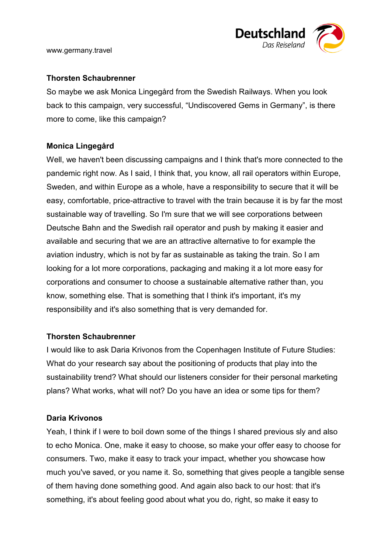

## **Thorsten Schaubrenner**

So maybe we ask Monica Lingegård from the Swedish Railways. When you look back to this campaign, very successful, "Undiscovered Gems in Germany", is there more to come, like this campaign?

# **Monica Lingegård**

Well, we haven't been discussing campaigns and I think that's more connected to the pandemic right now. As I said, I think that, you know, all rail operators within Europe, Sweden, and within Europe as a whole, have a responsibility to secure that it will be easy, comfortable, price-attractive to travel with the train because it is by far the most sustainable way of travelling. So I'm sure that we will see corporations between Deutsche Bahn and the Swedish rail operator and push by making it easier and available and securing that we are an attractive alternative to for example the aviation industry, which is not by far as sustainable as taking the train. So I am looking for a lot more corporations, packaging and making it a lot more easy for corporations and consumer to choose a sustainable alternative rather than, you know, something else. That is something that I think it's important, it's my responsibility and it's also something that is very demanded for.

### **Thorsten Schaubrenner**

I would like to ask Daria Krivonos from the Copenhagen Institute of Future Studies: What do your research say about the positioning of products that play into the sustainability trend? What should our listeners consider for their personal marketing plans? What works, what will not? Do you have an idea or some tips for them?

# **Daria Krivonos**

Yeah, I think if I were to boil down some of the things I shared previous sly and also to echo Monica. One, make it easy to choose, so make your offer easy to choose for consumers. Two, make it easy to track your impact, whether you showcase how much you've saved, or you name it. So, something that gives people a tangible sense of them having done something good. And again also back to our host: that it's something, it's about feeling good about what you do, right, so make it easy to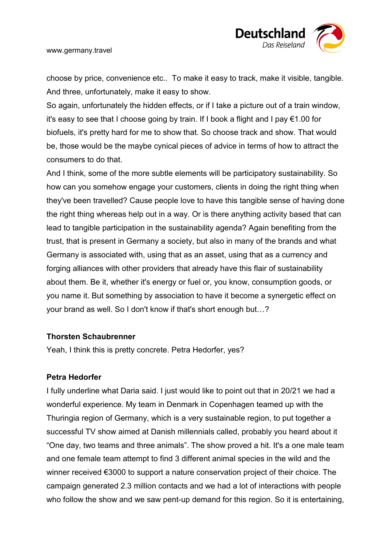

choose by price, convenience etc.. To make it easy to track, make it visible, tangible. And three, unfortunately, make it easy to show.

So again, unfortunately the hidden effects, or if I take a picture out of a train window, it's easy to see that I choose going by train. If I book a flight and I pay €1.00 for biofuels, it's pretty hard for me to show that. So choose track and show. That would be, those would be the maybe cynical pieces of advice in terms of how to attract the consumers to do that.

And I think, some of the more subtle elements will be participatory sustainability. So how can you somehow engage your customers, clients in doing the right thing when they've been travelled? Cause people love to have this tangible sense of having done the right thing whereas help out in a way. Or is there anything activity based that can lead to tangible participation in the sustainability agenda? Again benefiting from the trust, that is present in Germany a society, but also in many of the brands and what Germany is associated with, using that as an asset, using that as a currency and forging alliances with other providers that already have this flair of sustainability about them. Be it, whether it's energy or fuel or, you know, consumption goods, or you name it. But something by association to have it become a synergetic effect on your brand as well. So I don't know if that's short enough but…?

#### **Thorsten Schaubrenner**

Yeah, I think this is pretty concrete. Petra Hedorfer, yes?

#### **Petra Hedorfer**

I fully underline what Daria said. I just would like to point out that in 20/21 we had a wonderful experience. My team in Denmark in Copenhagen teamed up with the Thuringia region of Germany, which is a very sustainable region, to put together a successful TV show aimed at Danish millennials called, probably you heard about it "One day, two teams and three animals". The show proved a hit. It's a one male team and one female team attempt to find 3 different animal species in the wild and the winner received €3000 to support a nature conservation project of their choice. The campaign generated 2.3 million contacts and we had a lot of interactions with people who follow the show and we saw pent-up demand for this region. So it is entertaining,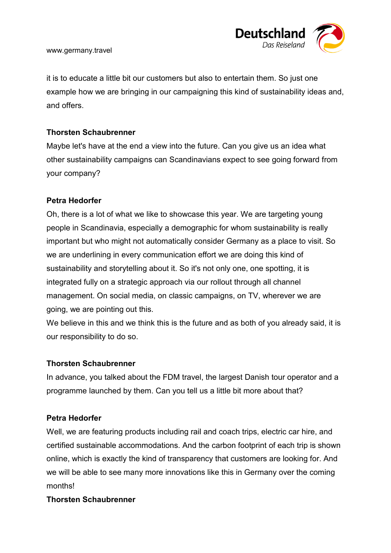

it is to educate a little bit our customers but also to entertain them. So just one example how we are bringing in our campaigning this kind of sustainability ideas and, and offers.

## **Thorsten Schaubrenner**

Maybe let's have at the end a view into the future. Can you give us an idea what other sustainability campaigns can Scandinavians expect to see going forward from your company?

### **Petra Hedorfer**

Oh, there is a lot of what we like to showcase this year. We are targeting young people in Scandinavia, especially a demographic for whom sustainability is really important but who might not automatically consider Germany as a place to visit. So we are underlining in every communication effort we are doing this kind of sustainability and storytelling about it. So it's not only one, one spotting, it is integrated fully on a strategic approach via our rollout through all channel management. On social media, on classic campaigns, on TV, wherever we are going, we are pointing out this.

We believe in this and we think this is the future and as both of you already said, it is our responsibility to do so.

### **Thorsten Schaubrenner**

In advance, you talked about the FDM travel, the largest Danish tour operator and a programme launched by them. Can you tell us a little bit more about that?

### **Petra Hedorfer**

Well, we are featuring products including rail and coach trips, electric car hire, and certified sustainable accommodations. And the carbon footprint of each trip is shown online, which is exactly the kind of transparency that customers are looking for. And we will be able to see many more innovations like this in Germany over the coming months!

### **Thorsten Schaubrenner**